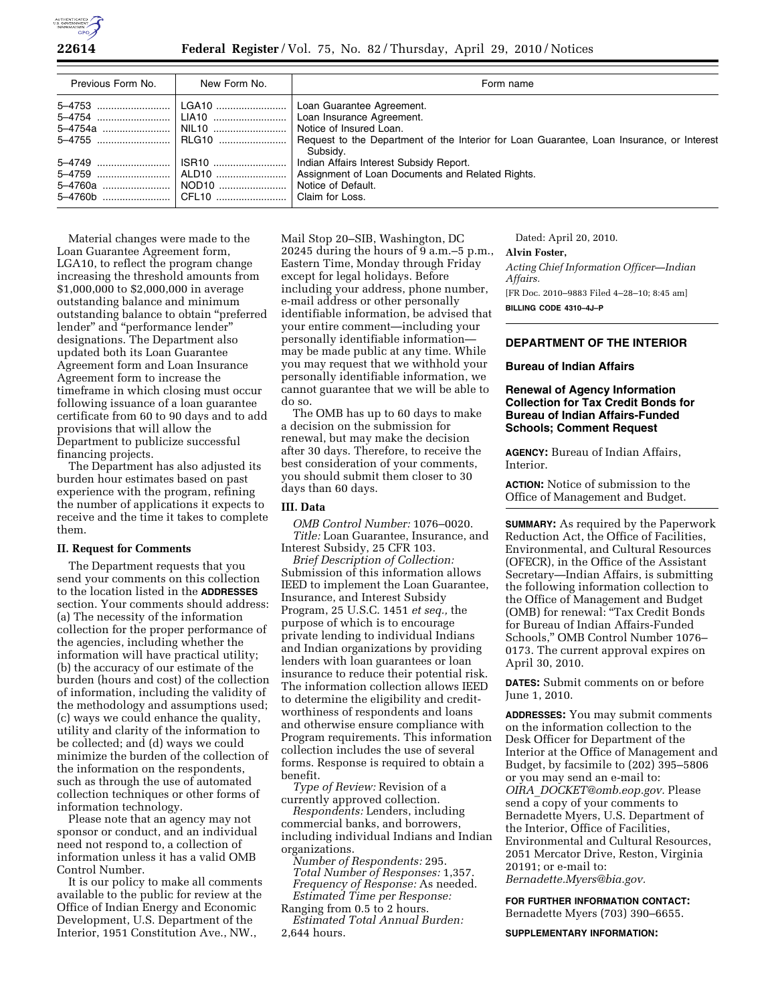

| Previous Form No. | New Form No.   | Form name                                                                                                                                                                                  |
|-------------------|----------------|--------------------------------------------------------------------------------------------------------------------------------------------------------------------------------------------|
|                   |                | Loan Guarantee Agreement.<br>Loan Insurance Agreement.<br>Notice of Insured Loan.<br>Request to the Department of the Interior for Loan Guarantee, Loan Insurance, or Interest<br>Subsidy. |
|                   | ISR10<br>CFL10 | Indian Affairs Interest Subsidy Report.<br>Assignment of Loan Documents and Related Rights.<br>Notice of Default.<br>Claim for Loss.                                                       |

Material changes were made to the Loan Guarantee Agreement form, LGA10, to reflect the program change increasing the threshold amounts from \$1,000,000 to \$2,000,000 in average outstanding balance and minimum outstanding balance to obtain ''preferred lender'' and ''performance lender'' designations. The Department also updated both its Loan Guarantee Agreement form and Loan Insurance Agreement form to increase the timeframe in which closing must occur following issuance of a loan guarantee certificate from 60 to 90 days and to add provisions that will allow the Department to publicize successful financing projects.

The Department has also adjusted its burden hour estimates based on past experience with the program, refining the number of applications it expects to receive and the time it takes to complete them.

### **II. Request for Comments**

The Department requests that you send your comments on this collection to the location listed in the **ADDRESSES** section. Your comments should address: (a) The necessity of the information collection for the proper performance of the agencies, including whether the information will have practical utility; (b) the accuracy of our estimate of the burden (hours and cost) of the collection of information, including the validity of the methodology and assumptions used; (c) ways we could enhance the quality, utility and clarity of the information to be collected; and (d) ways we could minimize the burden of the collection of the information on the respondents, such as through the use of automated collection techniques or other forms of information technology.

Please note that an agency may not sponsor or conduct, and an individual need not respond to, a collection of information unless it has a valid OMB Control Number.

It is our policy to make all comments available to the public for review at the Office of Indian Energy and Economic Development, U.S. Department of the Interior, 1951 Constitution Ave., NW.,

Mail Stop 20–SIB, Washington, DC 20245 during the hours of 9 a.m.–5 p.m., Eastern Time, Monday through Friday except for legal holidays. Before including your address, phone number, e-mail address or other personally identifiable information, be advised that your entire comment—including your personally identifiable information may be made public at any time. While you may request that we withhold your personally identifiable information, we cannot guarantee that we will be able to do so.

The OMB has up to 60 days to make a decision on the submission for renewal, but may make the decision after 30 days. Therefore, to receive the best consideration of your comments, you should submit them closer to 30 days than 60 days.

### **III. Data**

*OMB Control Number:* 1076–0020. *Title:* Loan Guarantee, Insurance, and Interest Subsidy, 25 CFR 103.

*Brief Description of Collection:*  Submission of this information allows IEED to implement the Loan Guarantee, Insurance, and Interest Subsidy Program, 25 U.S.C. 1451 *et seq.,* the purpose of which is to encourage private lending to individual Indians and Indian organizations by providing lenders with loan guarantees or loan insurance to reduce their potential risk. The information collection allows IEED to determine the eligibility and creditworthiness of respondents and loans and otherwise ensure compliance with Program requirements. This information collection includes the use of several forms. Response is required to obtain a benefit.

*Type of Review:* Revision of a currently approved collection.

*Respondents:* Lenders, including commercial banks, and borrowers, including individual Indians and Indian organizations.

*Number of Respondents:* 295. *Total Number of Responses:* 1,357. *Frequency of Response:* As needed. *Estimated Time per Response:* 

Ranging from 0.5 to 2 hours. *Estimated Total Annual Burden:*  2,644 hours.

Dated: April 20, 2010.

# **Alvin Foster,**

*Acting Chief Information Officer—Indian Affairs.*  [FR Doc. 2010–9883 Filed 4–28–10; 8:45 am] **BILLING CODE 4310–4J–P** 

### **DEPARTMENT OF THE INTERIOR**

#### **Bureau of Indian Affairs**

### **Renewal of Agency Information Collection for Tax Credit Bonds for Bureau of Indian Affairs-Funded Schools; Comment Request**

**AGENCY:** Bureau of Indian Affairs, **Interior** 

**ACTION:** Notice of submission to the Office of Management and Budget.

**SUMMARY:** As required by the Paperwork Reduction Act, the Office of Facilities, Environmental, and Cultural Resources (OFECR), in the Office of the Assistant Secretary—Indian Affairs, is submitting the following information collection to the Office of Management and Budget (OMB) for renewal: ''Tax Credit Bonds for Bureau of Indian Affairs-Funded Schools,'' OMB Control Number 1076– 0173. The current approval expires on April 30, 2010.

**DATES:** Submit comments on or before June 1, 2010.

**ADDRESSES:** You may submit comments on the information collection to the Desk Officer for Department of the Interior at the Office of Management and Budget, by facsimile to (202) 395–5806 or you may send an e-mail to: *OIRA*\_*DOCKET@omb.eop.gov.* Please send a copy of your comments to Bernadette Myers, U.S. Department of the Interior, Office of Facilities, Environmental and Cultural Resources, 2051 Mercator Drive, Reston, Virginia 20191; or e-mail to: *Bernadette.Myers@bia.gov.* 

**FOR FURTHER INFORMATION CONTACT:**  Bernadette Myers (703) 390–6655.

**SUPPLEMENTARY INFORMATION:**